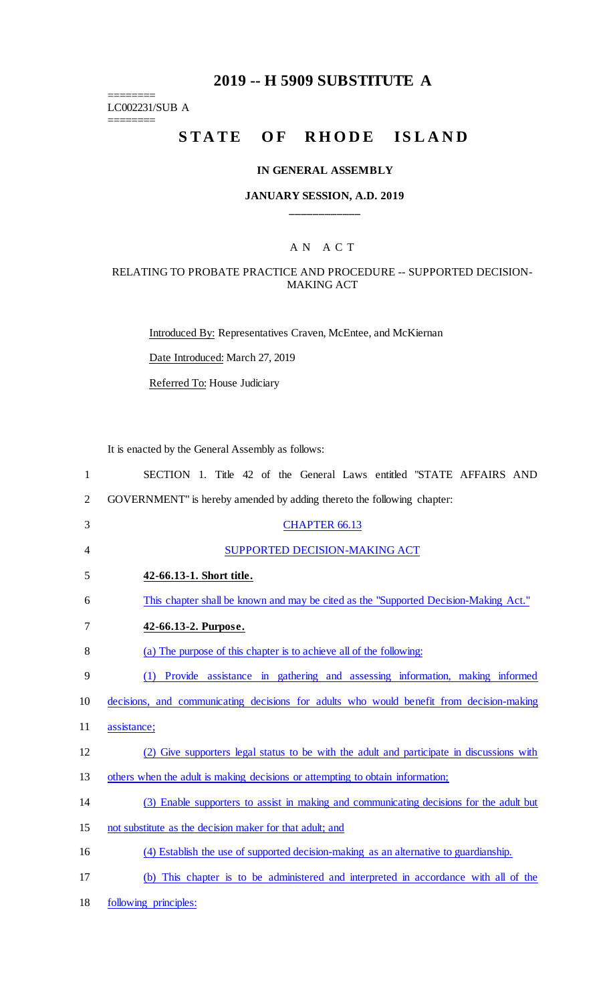## **2019 -- H 5909 SUBSTITUTE A**

LC002231/SUB A  $=$ 

========

# STATE OF RHODE ISLAND

#### **IN GENERAL ASSEMBLY**

#### **JANUARY SESSION, A.D. 2019 \_\_\_\_\_\_\_\_\_\_\_\_**

### A N A C T

#### RELATING TO PROBATE PRACTICE AND PROCEDURE -- SUPPORTED DECISION-MAKING ACT

Introduced By: Representatives Craven, McEntee, and McKiernan

Date Introduced: March 27, 2019

Referred To: House Judiciary

It is enacted by the General Assembly as follows:

| $\mathbf{1}$   | SECTION 1. Title 42 of the General Laws entitled "STATE AFFAIRS AND                       |
|----------------|-------------------------------------------------------------------------------------------|
| $\overline{2}$ | GOVERNMENT" is hereby amended by adding thereto the following chapter:                    |
| 3              | <b>CHAPTER 66.13</b>                                                                      |
| 4              | SUPPORTED DECISION-MAKING ACT                                                             |
| 5              | 42-66.13-1. Short title.                                                                  |
| 6              | This chapter shall be known and may be cited as the "Supported Decision-Making Act."      |
| 7              | 42-66.13-2. Purpose.                                                                      |
| 8              | (a) The purpose of this chapter is to achieve all of the following:                       |
| 9              | Provide assistance in gathering and assessing information, making informed<br>(1)         |
| 10             | decisions, and communicating decisions for adults who would benefit from decision-making  |
| 11             | assistance;                                                                               |
| 12             | (2) Give supporters legal status to be with the adult and participate in discussions with |
| 13             | others when the adult is making decisions or attempting to obtain information;            |
| 14             | (3) Enable supporters to assist in making and communicating decisions for the adult but   |
| 15             | not substitute as the decision maker for that adult; and                                  |
| 16             | (4) Establish the use of supported decision-making as an alternative to guardianship.     |
| 17             | (b) This chapter is to be administered and interpreted in accordance with all of the      |
| 18             | following principles:                                                                     |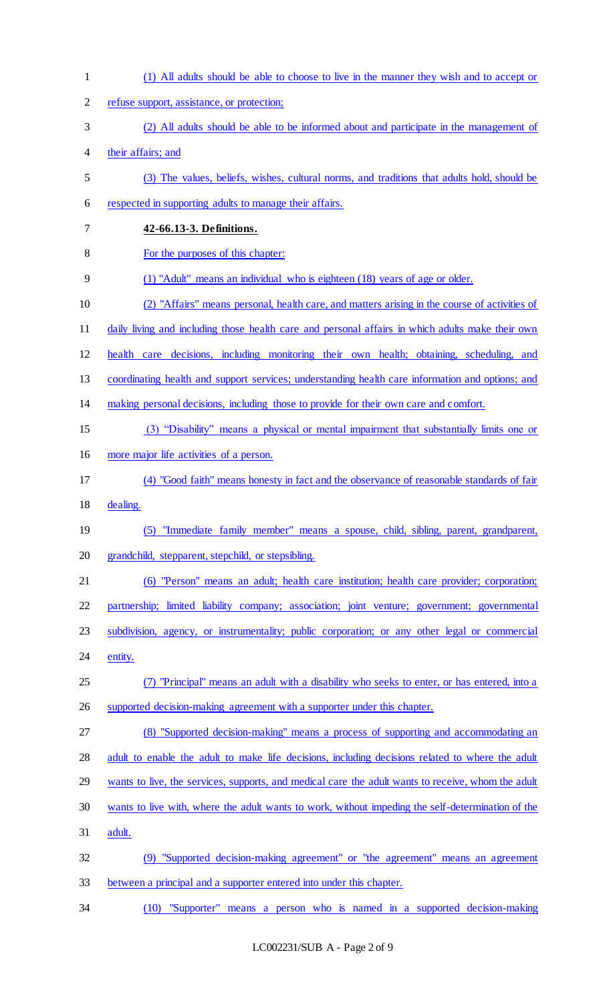| $\mathbf{1}$ | (1) All adults should be able to choose to live in the manner they wish and to accept or           |
|--------------|----------------------------------------------------------------------------------------------------|
| 2            | refuse support, assistance, or protection;                                                         |
| 3            | (2) All adults should be able to be informed about and participate in the management of            |
| 4            | their affairs; and                                                                                 |
| 5            | (3) The values, beliefs, wishes, cultural norms, and traditions that adults hold, should be        |
| 6            | respected in supporting adults to manage their affairs.                                            |
| 7            | 42-66.13-3. Definitions.                                                                           |
| 8            | For the purposes of this chapter:                                                                  |
| 9            | (1) "Adult" means an individual who is eighteen (18) years of age or older.                        |
| 10           | (2) "Affairs" means personal, health care, and matters arising in the course of activities of      |
| 11           | daily living and including those health care and personal affairs in which adults make their own   |
| 12           | health care decisions, including monitoring their own health; obtaining, scheduling, and           |
| 13           | coordinating health and support services; understanding health care information and options; and   |
| 14           | making personal decisions, including those to provide for their own care and comfort.              |
| 15           | (3) "Disability" means a physical or mental impairment that substantially limits one or            |
| 16           | more major life activities of a person.                                                            |
| 17           | (4) "Good faith" means honesty in fact and the observance of reasonable standards of fair          |
| 18           | dealing.                                                                                           |
| 19           | (5) "Immediate family member" means a spouse, child, sibling, parent, grandparent,                 |
| 20           | grandchild, stepparent, stepchild, or stepsibling.                                                 |
| 21           | (6) "Person" means an adult; health care institution; health care provider; corporation;           |
| 22           | partnership; limited liability company; association; joint venture; government; governmental       |
| 23           | subdivision, agency, or instrumentality; public corporation; or any other legal or commercial      |
| 24           | entity.                                                                                            |
| 25           | (7) "Principal" means an adult with a disability who seeks to enter, or has entered, into a        |
| 26           | supported decision-making agreement with a supporter under this chapter.                           |
| 27           | (8) "Supported decision-making" means a process of supporting and accommodating an                 |
| 28           | adult to enable the adult to make life decisions, including decisions related to where the adult   |
| 29           | wants to live, the services, supports, and medical care the adult wants to receive, whom the adult |
| 30           | wants to live with, where the adult wants to work, without impeding the self-determination of the  |
| 31           | adult.                                                                                             |
| 32           | (9) "Supported decision-making agreement" or "the agreement" means an agreement                    |
| 33           | between a principal and a supporter entered into under this chapter.                               |
| 34           | (10) "Supporter" means a person who is named in a supported decision-making                        |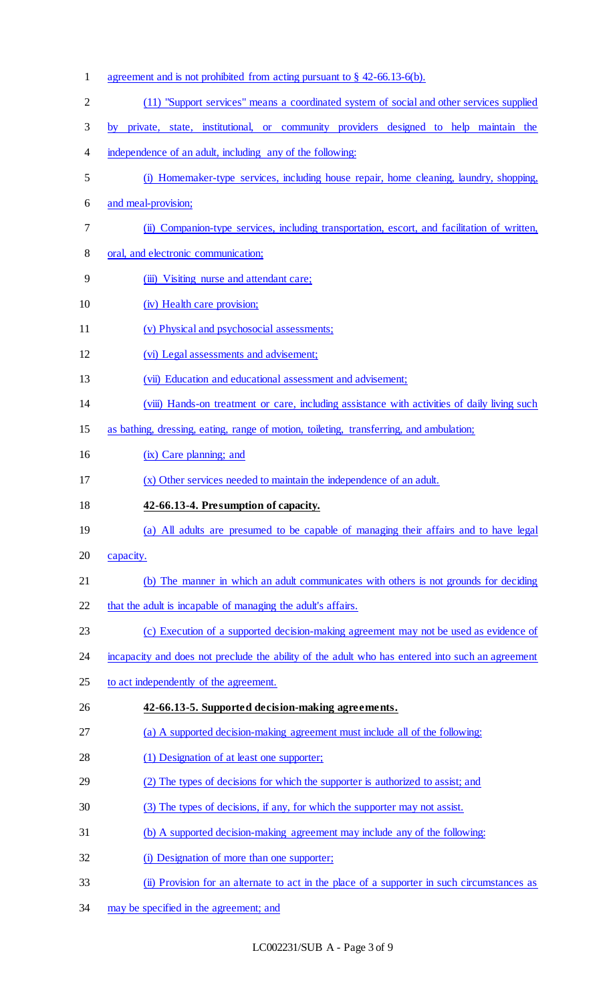| $\mathbf{1}$ | agreement and is not prohibited from acting pursuant to $\S$ 42-66.13-6(b).                      |  |  |  |  |  |
|--------------|--------------------------------------------------------------------------------------------------|--|--|--|--|--|
| 2            | (11) "Support services" means a coordinated system of social and other services supplied         |  |  |  |  |  |
| 3            | by private, state, institutional, or community providers designed to help maintain the           |  |  |  |  |  |
| 4            | independence of an adult, including any of the following:                                        |  |  |  |  |  |
| 5            | (i) Homemaker-type services, including house repair, home cleaning, laundry, shopping,           |  |  |  |  |  |
| 6            | and meal-provision;                                                                              |  |  |  |  |  |
| 7            | (ii) Companion-type services, including transportation, escort, and facilitation of written,     |  |  |  |  |  |
| 8            | oral, and electronic communication;                                                              |  |  |  |  |  |
| 9            | (iii) Visiting nurse and attendant care;                                                         |  |  |  |  |  |
| 10           | (iv) Health care provision;                                                                      |  |  |  |  |  |
| 11           | (v) Physical and psychosocial assessments;                                                       |  |  |  |  |  |
| 12           | (vi) Legal assessments and advisement;                                                           |  |  |  |  |  |
| 13           | (vii) Education and educational assessment and advisement;                                       |  |  |  |  |  |
| 14           | (viii) Hands-on treatment or care, including assistance with activities of daily living such     |  |  |  |  |  |
| 15           | as bathing, dressing, eating, range of motion, toileting, transferring, and ambulation;          |  |  |  |  |  |
| 16           | (ix) Care planning; and                                                                          |  |  |  |  |  |
| 17           | (x) Other services needed to maintain the independence of an adult.                              |  |  |  |  |  |
|              |                                                                                                  |  |  |  |  |  |
| 18           | 42-66.13-4. Presumption of capacity.                                                             |  |  |  |  |  |
| 19           | (a) All adults are presumed to be capable of managing their affairs and to have legal            |  |  |  |  |  |
| 20           | capacity.                                                                                        |  |  |  |  |  |
| 21           | (b) The manner in which an adult communicates with others is not grounds for deciding            |  |  |  |  |  |
| 22           | that the adult is incapable of managing the adult's affairs.                                     |  |  |  |  |  |
| 23           | (c) Execution of a supported decision-making agreement may not be used as evidence of            |  |  |  |  |  |
| 24           | incapacity and does not preclude the ability of the adult who has entered into such an agreement |  |  |  |  |  |
| 25           | to act independently of the agreement.                                                           |  |  |  |  |  |
| 26           | 42-66.13-5. Supported decision-making agreements.                                                |  |  |  |  |  |
| 27           | (a) A supported decision-making agreement must include all of the following:                     |  |  |  |  |  |
| 28           | (1) Designation of at least one supporter;                                                       |  |  |  |  |  |
| 29           | (2) The types of decisions for which the supporter is authorized to assist; and                  |  |  |  |  |  |
| 30           | (3) The types of decisions, if any, for which the supporter may not assist.                      |  |  |  |  |  |
| 31           | (b) A supported decision-making agreement may include any of the following:                      |  |  |  |  |  |
| 32           | (i) Designation of more than one supporter;                                                      |  |  |  |  |  |
| 33           | (ii) Provision for an alternate to act in the place of a supporter in such circumstances as      |  |  |  |  |  |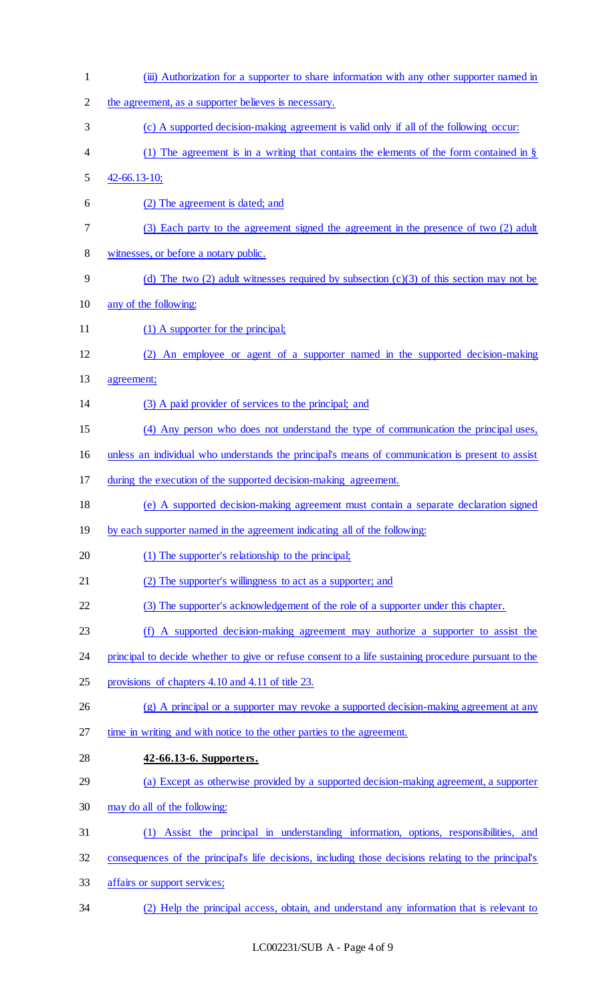| $\mathbf{1}$   | (iii) Authorization for a supporter to share information with any other supporter named in            |
|----------------|-------------------------------------------------------------------------------------------------------|
| $\overline{2}$ | the agreement, as a supporter believes is necessary.                                                  |
| 3              | (c) A supported decision-making agreement is valid only if all of the following occur:                |
| 4              | (1) The agreement is in a writing that contains the elements of the form contained in $\S$            |
| 5              | $42 - 66.13 - 10;$                                                                                    |
| 6              | (2) The agreement is dated; and                                                                       |
| 7              | (3) Each party to the agreement signed the agreement in the presence of two (2) adult                 |
| 8              | witnesses, or before a notary public.                                                                 |
| 9              | (d) The two (2) adult witnesses required by subsection (c)(3) of this section may not be              |
| 10             | any of the following:                                                                                 |
| 11             | $(1)$ A supporter for the principal;                                                                  |
| 12             | (2) An employee or agent of a supporter named in the supported decision-making                        |
| 13             | agreement;                                                                                            |
| 14             | (3) A paid provider of services to the principal; and                                                 |
| 15             | (4) Any person who does not understand the type of communication the principal uses,                  |
| 16             | unless an individual who understands the principal's means of communication is present to assist      |
| 17             | during the execution of the supported decision-making agreement.                                      |
| 18             | (e) A supported decision-making agreement must contain a separate declaration signed                  |
| 19             | by each supporter named in the agreement indicating all of the following:                             |
| 20             | (1) The supporter's relationship to the principal;                                                    |
| 21             | (2) The supporter's willingness to act as a supporter; and                                            |
| 22             | (3) The supporter's acknowledgement of the role of a supporter under this chapter.                    |
| 23             | (f) A supported decision-making agreement may authorize a supporter to assist the                     |
| 24             | principal to decide whether to give or refuse consent to a life sustaining procedure pursuant to the  |
| 25             | provisions of chapters 4.10 and 4.11 of title 23.                                                     |
| 26             | (g) A principal or a supporter may revoke a supported decision-making agreement at any                |
| 27             | time in writing and with notice to the other parties to the agreement.                                |
| 28             | 42-66.13-6. Supporters.                                                                               |
| 29             | (a) Except as otherwise provided by a supported decision-making agreement, a supporter                |
| 30             | may do all of the following:                                                                          |
| 31             | Assist the principal in understanding information, options, responsibilities, and<br>(1)              |
| 32             | consequences of the principal's life decisions, including those decisions relating to the principal's |
| 33             | affairs or support services;                                                                          |
| 34             | (2) Help the principal access, obtain, and understand any information that is relevant to             |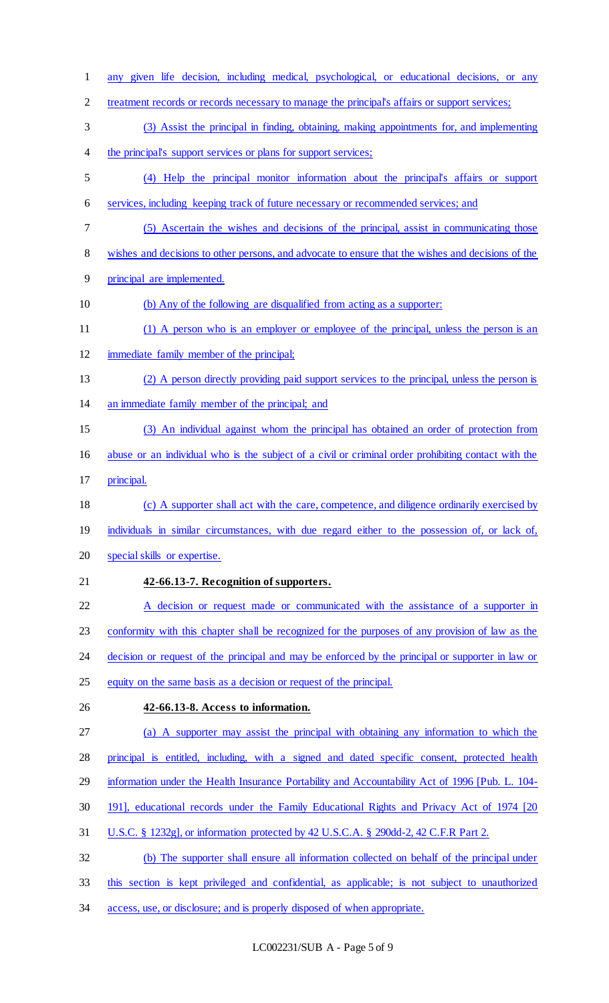any given life decision, including medical, psychological, or educational decisions, or any 2 treatment records or records necessary to manage the principal's affairs or support services; (3) Assist the principal in finding, obtaining, making appointments for, and implementing 4 the principal's support services or plans for support services; (4) Help the principal monitor information about the principal's affairs or support services, including keeping track of future necessary or recommended services; and (5) Ascertain the wishes and decisions of the principal, assist in communicating those wishes and decisions to other persons, and advocate to ensure that the wishes and decisions of the principal are implemented. (b) Any of the following are disqualified from acting as a supporter: (1) A person who is an employer or employee of the principal, unless the person is an immediate family member of the principal; (2) A person directly providing paid support services to the principal, unless the person is an immediate family member of the principal; and (3) An individual against whom the principal has obtained an order of protection from abuse or an individual who is the subject of a civil or criminal order prohibiting contact with the principal. (c) A supporter shall act with the care, competence, and diligence ordinarily exercised by 19 individuals in similar circumstances, with due regard either to the possession of, or lack of, special skills or expertise. **42-66.13-7. Recognition of supporters.**  22 A decision or request made or communicated with the assistance of a supporter in conformity with this chapter shall be recognized for the purposes of any provision of law as the 24 decision or request of the principal and may be enforced by the principal or supporter in law or equity on the same basis as a decision or request of the principal. **42-66.13-8. Access to information.**  (a) A supporter may assist the principal with obtaining any information to which the principal is entitled, including, with a signed and dated specific consent, protected health information under the Health Insurance Portability and Accountability Act of 1996 [Pub. L. 104- 191], educational records under the Family Educational Rights and Privacy Act of 1974 [20 U.S.C. § 1232g], or information protected by 42 U.S.C.A. § 290dd-2, 42 C.F.R Part 2. (b) The supporter shall ensure all information collected on behalf of the principal under this section is kept privileged and confidential, as applicable; is not subject to unauthorized access, use, or disclosure; and is properly disposed of when appropriate.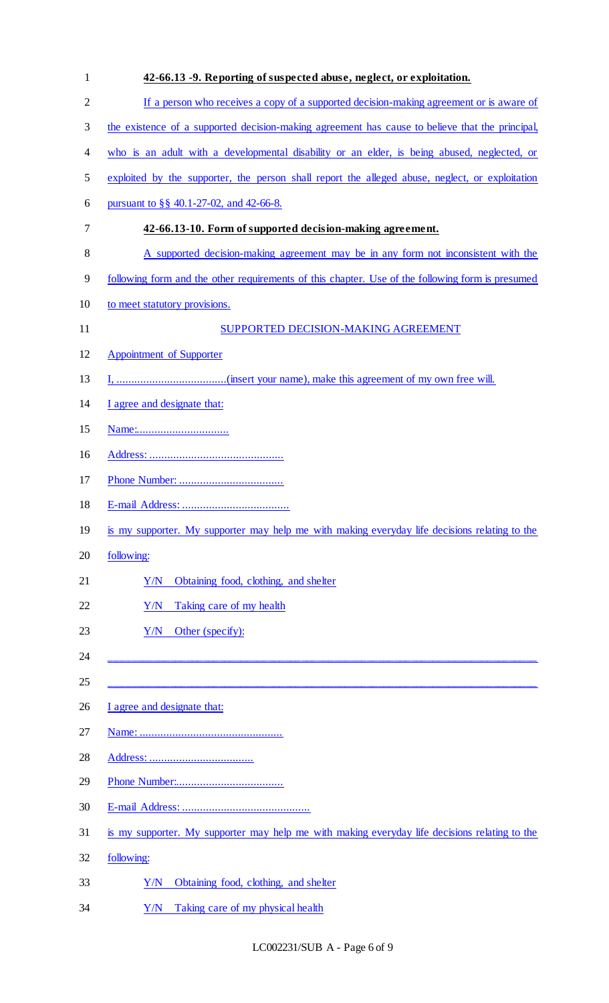| $\mathbf{1}$   | 42-66.13 -9. Reporting of suspected abuse, neglect, or exploitation.                             |  |  |  |  |
|----------------|--------------------------------------------------------------------------------------------------|--|--|--|--|
| $\overline{2}$ | If a person who receives a copy of a supported decision-making agreement or is aware of          |  |  |  |  |
| 3              | the existence of a supported decision-making agreement has cause to believe that the principal,  |  |  |  |  |
| 4              | who is an adult with a developmental disability or an elder, is being abused, neglected, or      |  |  |  |  |
| 5              | exploited by the supporter, the person shall report the alleged abuse, neglect, or exploitation  |  |  |  |  |
| 6              | pursuant to §§ 40.1-27-02, and 42-66-8.                                                          |  |  |  |  |
| 7              | 42-66.13-10. Form of supported decision-making agreement.                                        |  |  |  |  |
| 8              | A supported decision-making agreement may be in any form not inconsistent with the               |  |  |  |  |
| 9              | following form and the other requirements of this chapter. Use of the following form is presumed |  |  |  |  |
| 10             | to meet statutory provisions.                                                                    |  |  |  |  |
| 11             | SUPPORTED DECISION-MAKING AGREEMENT                                                              |  |  |  |  |
| 12             | <b>Appointment of Supporter</b>                                                                  |  |  |  |  |
| 13             |                                                                                                  |  |  |  |  |
| 14             | I agree and designate that:                                                                      |  |  |  |  |
| 15             |                                                                                                  |  |  |  |  |
| 16             |                                                                                                  |  |  |  |  |
| 17             |                                                                                                  |  |  |  |  |
| 18             |                                                                                                  |  |  |  |  |
| 19             | is my supporter. My supporter may help me with making everyday life decisions relating to the    |  |  |  |  |
| 20             | following:                                                                                       |  |  |  |  |
| 21             | Obtaining food, clothing, and shelter<br>Y/N                                                     |  |  |  |  |
| 22             | Y/N<br>Taking care of my health                                                                  |  |  |  |  |
| 23             | Other (specify):<br>Y/N                                                                          |  |  |  |  |
| 24             |                                                                                                  |  |  |  |  |
| 25             |                                                                                                  |  |  |  |  |
| 26             | I agree and designate that:                                                                      |  |  |  |  |
| 27             |                                                                                                  |  |  |  |  |
| 28             |                                                                                                  |  |  |  |  |
| 29             |                                                                                                  |  |  |  |  |
| 30             |                                                                                                  |  |  |  |  |
| 31             | is my supporter. My supporter may help me with making everyday life decisions relating to the    |  |  |  |  |
| 32             | following:                                                                                       |  |  |  |  |
| 33             | Obtaining food, clothing, and shelter<br>Y/N                                                     |  |  |  |  |
| 34             | Taking care of my physical health<br>Y/N                                                         |  |  |  |  |

LC002231/SUB A - Page 6 of 9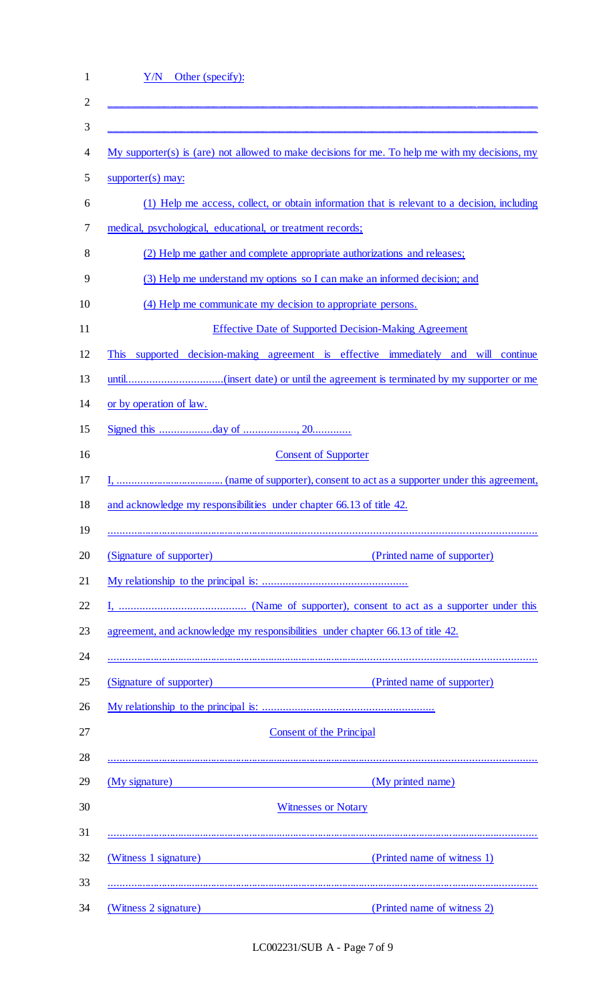| Y/N<br>Other (specify):                                                                                                                                                                                                             |                                                                                                 |  |  |  |  |
|-------------------------------------------------------------------------------------------------------------------------------------------------------------------------------------------------------------------------------------|-------------------------------------------------------------------------------------------------|--|--|--|--|
|                                                                                                                                                                                                                                     |                                                                                                 |  |  |  |  |
|                                                                                                                                                                                                                                     |                                                                                                 |  |  |  |  |
|                                                                                                                                                                                                                                     | My supporter(s) is (are) not allowed to make decisions for me. To help me with my decisions, my |  |  |  |  |
| $supporter(s)$ may:                                                                                                                                                                                                                 |                                                                                                 |  |  |  |  |
| (1) Help me access, collect, or obtain information that is relevant to a decision, including                                                                                                                                        |                                                                                                 |  |  |  |  |
| medical, psychological, educational, or treatment records;                                                                                                                                                                          |                                                                                                 |  |  |  |  |
| (2) Help me gather and complete appropriate authorizations and releases;                                                                                                                                                            |                                                                                                 |  |  |  |  |
| (3) Help me understand my options so I can make an informed decision; and                                                                                                                                                           |                                                                                                 |  |  |  |  |
| (4) Help me communicate my decision to appropriate persons.                                                                                                                                                                         |                                                                                                 |  |  |  |  |
| <b>Effective Date of Supported Decision-Making Agreement</b>                                                                                                                                                                        |                                                                                                 |  |  |  |  |
| supported decision-making agreement is effective immediately and will continue<br><b>This</b>                                                                                                                                       |                                                                                                 |  |  |  |  |
|                                                                                                                                                                                                                                     |                                                                                                 |  |  |  |  |
| or by operation of law.                                                                                                                                                                                                             |                                                                                                 |  |  |  |  |
|                                                                                                                                                                                                                                     |                                                                                                 |  |  |  |  |
|                                                                                                                                                                                                                                     | <b>Consent of Supporter</b>                                                                     |  |  |  |  |
|                                                                                                                                                                                                                                     |                                                                                                 |  |  |  |  |
| and acknowledge my responsibilities under chapter 66.13 of title 42.                                                                                                                                                                |                                                                                                 |  |  |  |  |
| (Signature of supporter) (Printed name of supporter)                                                                                                                                                                                |                                                                                                 |  |  |  |  |
|                                                                                                                                                                                                                                     |                                                                                                 |  |  |  |  |
|                                                                                                                                                                                                                                     |                                                                                                 |  |  |  |  |
| agreement, and acknowledge my responsibilities under chapter 66.13 of title 42.                                                                                                                                                     |                                                                                                 |  |  |  |  |
| (Signature of supporter)                                                                                                                                                                                                            | (Printed name of supporter)                                                                     |  |  |  |  |
|                                                                                                                                                                                                                                     |                                                                                                 |  |  |  |  |
|                                                                                                                                                                                                                                     | <b>Consent of the Principal</b>                                                                 |  |  |  |  |
|                                                                                                                                                                                                                                     |                                                                                                 |  |  |  |  |
| (My signature) <b>Example 2</b> and 2 and 2 and 2 and 2 and 2 and 2 and 2 and 2 and 2 and 2 and 2 and 2 and 2 and 2 and 2 and 2 and 2 and 2 and 2 and 2 and 2 and 2 and 2 and 2 and 2 and 2 and 2 and 2 and 2 and 2 and 2 and 2 and | (My printed name)                                                                               |  |  |  |  |
|                                                                                                                                                                                                                                     | <b>Witnesses or Notary</b>                                                                      |  |  |  |  |
| (Witness 1 signature)                                                                                                                                                                                                               | (Printed name of witness 1)                                                                     |  |  |  |  |
|                                                                                                                                                                                                                                     |                                                                                                 |  |  |  |  |

LC002231/SUB A - Page 7 of 9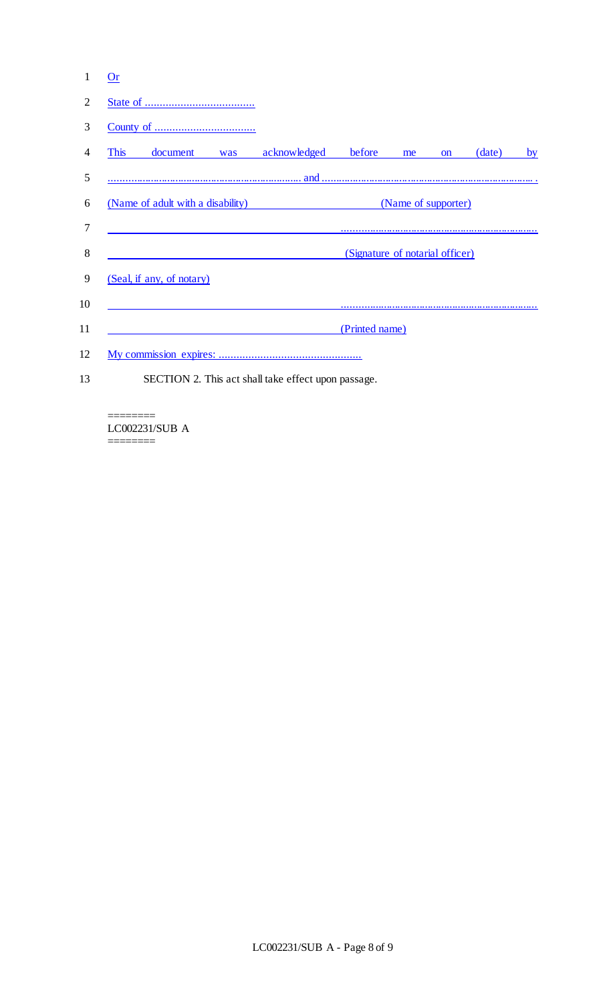| 1              | <b>Or</b>                                           |                                 |    |           |        |    |  |
|----------------|-----------------------------------------------------|---------------------------------|----|-----------|--------|----|--|
| 2              |                                                     |                                 |    |           |        |    |  |
| 3              |                                                     |                                 |    |           |        |    |  |
| $\overline{4}$ | acknowledged<br><b>This</b><br>document<br>was      | before                          | me | <b>on</b> | (date) | by |  |
| 5              |                                                     |                                 |    |           |        |    |  |
| 6              | (Name of adult with a disability)                   | (Name of supporter)             |    |           |        |    |  |
| 7              |                                                     |                                 |    |           |        |    |  |
| 8              |                                                     | (Signature of notarial officer) |    |           |        |    |  |
| 9              | (Seal, if any, of notary)                           |                                 |    |           |        |    |  |
| 10             |                                                     |                                 |    |           |        |    |  |
| 11             |                                                     | (Printed name)                  |    |           |        |    |  |
| 12             |                                                     |                                 |    |           |        |    |  |
| 13             | SECTION 2. This act shall take effect upon passage. |                                 |    |           |        |    |  |

#### ======== LC002231/SUB A

========